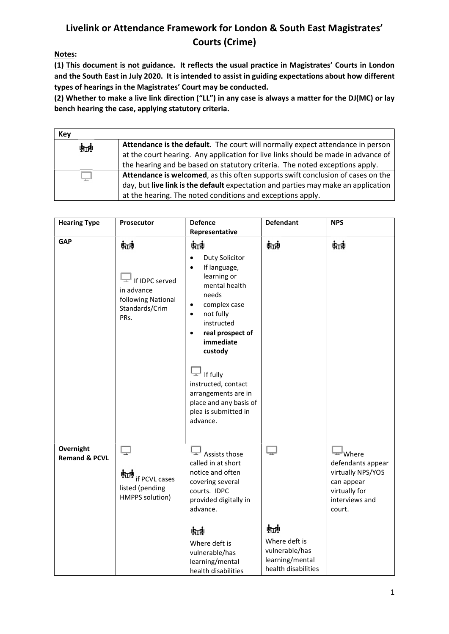## Livelink or Attendance Framework for London & South East Magistrates' Courts (Crime)

Notes:

(1) This document is not guidance. It reflects the usual practice in Magistrates' Courts in London and the South East in July 2020. It is intended to assist in guiding expectations about how different types of hearings in the Magistrates' Court may be conducted.

(2) Whether to make a live link direction ("LL") in any case is always a matter for the DJ(MC) or lay bench hearing the case, applying statutory criteria.

| Key |                                                                                   |
|-----|-----------------------------------------------------------------------------------|
| 転割  | Attendance is the default. The court will normally expect attendance in person    |
|     | at the court hearing. Any application for live links should be made in advance of |
|     | the hearing and be based on statutory criteria. The noted exceptions apply.       |
|     | Attendance is welcomed, as this often supports swift conclusion of cases on the   |
|     | day, but live link is the default expectation and parties may make an application |
|     | at the hearing. The noted conditions and exceptions apply.                        |

| <b>Hearing Type</b>                   | Prosecutor                                                                        | <b>Defence</b><br>Representative                                                                                                                                                                                                                                                                                                                                  | <b>Defendant</b>                                                                    | <b>NPS</b>                                                                                                   |
|---------------------------------------|-----------------------------------------------------------------------------------|-------------------------------------------------------------------------------------------------------------------------------------------------------------------------------------------------------------------------------------------------------------------------------------------------------------------------------------------------------------------|-------------------------------------------------------------------------------------|--------------------------------------------------------------------------------------------------------------|
| <b>GAP</b>                            | 蚰<br>If IDPC served<br>in advance<br>following National<br>Standards/Crim<br>PRs. | 蚰<br>Duty Solicitor<br>$\bullet$<br>If language,<br>$\bullet$<br>learning or<br>mental health<br>needs<br>complex case<br>$\bullet$<br>not fully<br>$\bullet$<br>instructed<br>real prospect of<br>$\bullet$<br>immediate<br>custody<br>If fully<br>┳<br>instructed, contact<br>arrangements are in<br>place and any basis of<br>plea is submitted in<br>advance. | 蚰                                                                                   | 蚰                                                                                                            |
| Overnight<br><b>Remand &amp; PCVL</b> | $\Box$<br>航视<br>if PCVL cases<br>listed (pending<br>HMPPS solution)               | ىك<br>Assists those<br>called in at short<br>notice and often<br>covering several<br>courts. IDPC<br>provided digitally in<br>advance.<br>魭<br>Where deft is<br>vulnerable/has<br>learning/mental<br>health disabilities                                                                                                                                          | ⋤<br>蚰<br>Where deft is<br>vulnerable/has<br>learning/mental<br>health disabilities | — Where<br>defendants appear<br>virtually NPS/YOS<br>can appear<br>virtually for<br>interviews and<br>court. |